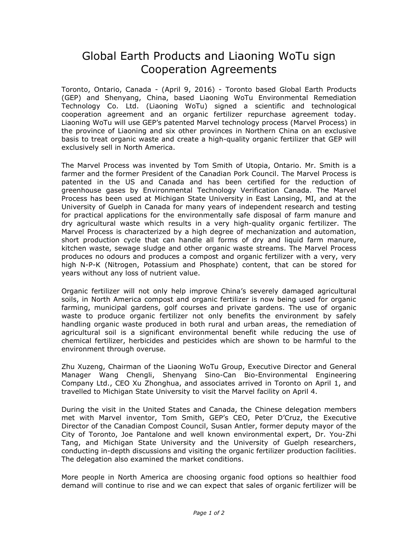## Global Earth Products and Liaoning WoTu sign Cooperation Agreements

Toronto, Ontario, Canada - (April 9, 2016) - Toronto based Global Earth Products (GEP) and Shenyang, China, based Liaoning WoTu Environmental Remediation Technology Co. Ltd. (Liaoning WoTu) signed a scientific and technological cooperation agreement and an organic fertilizer repurchase agreement today. Liaoning WoTu will use GEP's patented Marvel technology process (Marvel Process) in the province of Liaoning and six other provinces in Northern China on an exclusive basis to treat organic waste and create a high-quality organic fertilizer that GEP will exclusively sell in North America.

The Marvel Process was invented by Tom Smith of Utopia, Ontario. Mr. Smith is a farmer and the former President of the Canadian Pork Council. The Marvel Process is patented in the US and Canada and has been certified for the reduction of greenhouse gases by Environmental Technology Verification Canada. The Marvel Process has been used at Michigan State University in East Lansing, MI, and at the University of Guelph in Canada for many years of independent research and testing for practical applications for the environmentally safe disposal of farm manure and dry agricultural waste which results in a very high-quality organic fertilizer. The Marvel Process is characterized by a high degree of mechanization and automation, short production cycle that can handle all forms of dry and liquid farm manure, kitchen waste, sewage sludge and other organic waste streams. The Marvel Process produces no odours and produces a compost and organic fertilizer with a very, very high N-P-K (Nitrogen, Potassium and Phosphate) content, that can be stored for years without any loss of nutrient value.

Organic fertilizer will not only help improve China's severely damaged agricultural soils, in North America compost and organic fertilizer is now being used for organic farming, municipal gardens, golf courses and private gardens. The use of organic waste to produce organic fertilizer not only benefits the environment by safely handling organic waste produced in both rural and urban areas, the remediation of agricultural soil is a significant environmental benefit while reducing the use of chemical fertilizer, herbicides and pesticides which are shown to be harmful to the environment through overuse.

Zhu Xuzeng, Chairman of the Liaoning WoTu Group, Executive Director and General Manager Wang Chengli, Shenyang Sino-Can Bio-Environmental Engineering Company Ltd., CEO Xu Zhonghua, and associates arrived in Toronto on April 1, and travelled to Michigan State University to visit the Marvel facility on April 4.

During the visit in the United States and Canada, the Chinese delegation members met with Marvel inventor, Tom Smith, GEP's CEO, Peter D'Cruz, the Executive Director of the Canadian Compost Council, Susan Antler, former deputy mayor of the City of Toronto, Joe Pantalone and well known environmental expert, Dr. You-Zhi Tang, and Michigan State University and the University of Guelph researchers, conducting in-depth discussions and visiting the organic fertilizer production facilities. The delegation also examined the market conditions.

More people in North America are choosing organic food options so healthier food demand will continue to rise and we can expect that sales of organic fertilizer will be